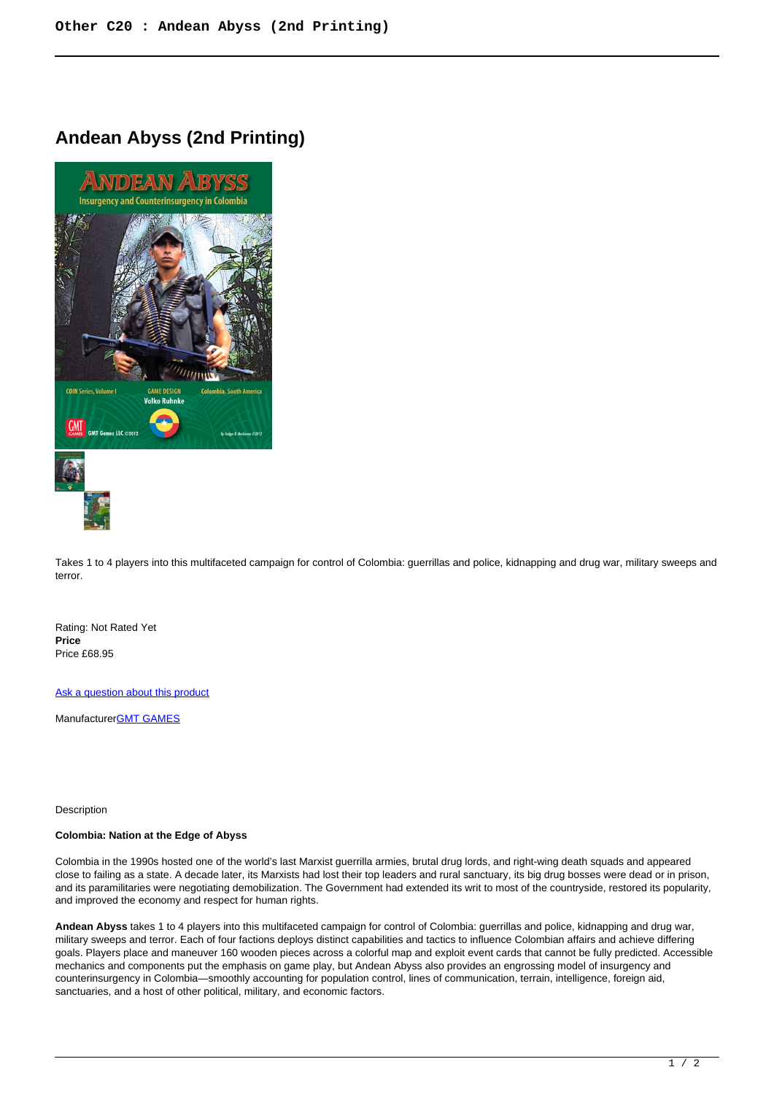# **Andean Abyss (2nd Printing)**



Takes 1 to 4 players into this multifaceted campaign for control of Colombia: guerrillas and police, kidnapping and drug war, military sweeps and terror.

Rating: Not Rated Yet **Price**  Price £68.95

[Ask a question about this product](https://www.secondchancegames.com/index.php?option=com_virtuemart&view=productdetails&task=askquestion&virtuemart_product_id=10849&virtuemart_category_id=23&tmpl=component)

Manufacturer[GMT GAMES](https://www.secondchancegames.com/index.php?option=com_virtuemart&view=manufacturer&virtuemart_manufacturer_id=2519&tmpl=component)

Description

## **Colombia: Nation at the Edge of Abyss**

Colombia in the 1990s hosted one of the world's last Marxist guerrilla armies, brutal drug lords, and right-wing death squads and appeared close to failing as a state. A decade later, its Marxists had lost their top leaders and rural sanctuary, its big drug bosses were dead or in prison, and its paramilitaries were negotiating demobilization. The Government had extended its writ to most of the countryside, restored its popularity, and improved the economy and respect for human rights.

**Andean Abyss** takes 1 to 4 players into this multifaceted campaign for control of Colombia: guerrillas and police, kidnapping and drug war, military sweeps and terror. Each of four factions deploys distinct capabilities and tactics to influence Colombian affairs and achieve differing goals. Players place and maneuver 160 wooden pieces across a colorful map and exploit event cards that cannot be fully predicted. Accessible mechanics and components put the emphasis on game play, but Andean Abyss also provides an engrossing model of insurgency and counterinsurgency in Colombia—smoothly accounting for population control, lines of communication, terrain, intelligence, foreign aid, sanctuaries, and a host of other political, military, and economic factors.